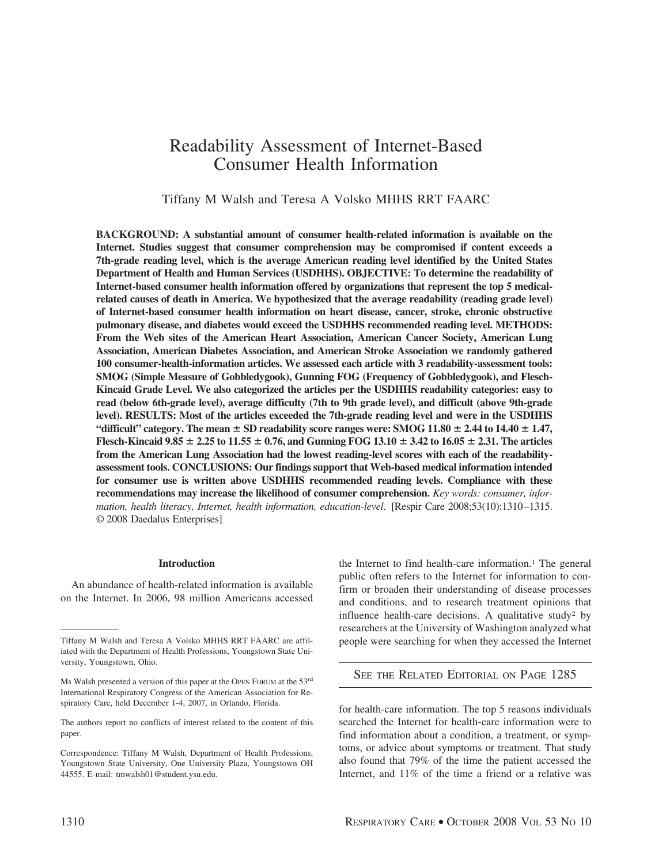# Readability Assessment of Internet-Based Consumer Health Information

Tiffany M Walsh and Teresa A Volsko MHHS RRT FAARC

**BACKGROUND: A substantial amount of consumer health-related information is available on the Internet. Studies suggest that consumer comprehension may be compromised if content exceeds a 7th-grade reading level, which is the average American reading level identified by the United States Department of Health and Human Services (USDHHS). OBJECTIVE: To determine the readability of Internet-based consumer health information offered by organizations that represent the top 5 medicalrelated causes of death in America. We hypothesized that the average readability (reading grade level) of Internet-based consumer health information on heart disease, cancer, stroke, chronic obstructive pulmonary disease, and diabetes would exceed the USDHHS recommended reading level. METHODS: From the Web sites of the American Heart Association, American Cancer Society, American Lung Association, American Diabetes Association, and American Stroke Association we randomly gathered 100 consumer-health-information articles. We assessed each article with 3 readability-assessment tools: SMOG (Simple Measure of Gobbledygook), Gunning FOG (Frequency of Gobbledygook), and Flesch-Kincaid Grade Level. We also categorized the articles per the USDHHS readability categories: easy to read (below 6th-grade level), average difficulty (7th to 9th grade level), and difficult (above 9th-grade level). RESULTS: Most of the articles exceeded the 7th-grade reading level and were in the USDHHS** "difficult" category. The mean  $\pm$  SD readability score ranges were: SMOG 11.80  $\pm$  2.44 to 14.40  $\pm$  1.47, **Flesch-Kincaid 9.85**  $\pm$  2.25 to 11.55  $\pm$  0.76, and Gunning FOG 13.10  $\pm$  3.42 to 16.05  $\pm$  2.31. The articles **from the American Lung Association had the lowest reading-level scores with each of the readabilityassessment tools. CONCLUSIONS: Our findings support that Web-based medical information intended for consumer use is written above USDHHS recommended reading levels. Compliance with these recommendations may increase the likelihood of consumer comprehension.** *Key words: consumer, information, health literacy, Internet, health information, education-level*. [Respir Care 2008;53(10):1310 –1315. © 2008 Daedalus Enterprises]

## **Introduction**

An abundance of health-related information is available on the Internet. In 2006, 98 million Americans accessed the Internet to find health-care information.<sup>1</sup> The general public often refers to the Internet for information to confirm or broaden their understanding of disease processes and conditions, and to research treatment opinions that influence health-care decisions. A qualitative study<sup>2</sup> by researchers at the University of Washington analyzed what people were searching for when they accessed the Internet

SEE THE RELATED EDITORIAL ON PAGE 1285

for health-care information. The top 5 reasons individuals searched the Internet for health-care information were to find information about a condition, a treatment, or symptoms, or advice about symptoms or treatment. That study also found that 79% of the time the patient accessed the Internet, and 11% of the time a friend or a relative was

Tiffany M Walsh and Teresa A Volsko MHHS RRT FAARC are affiliated with the Department of Health Professions, Youngstown State University, Youngstown, Ohio.

Ms Walsh presented a version of this paper at the OPEN FORUM at the 53<sup>rd</sup> International Respiratory Congress of the American Association for Respiratory Care, held December 1-4, 2007, in Orlando, Florida.

The authors report no conflicts of interest related to the content of this paper.

Correspondence: Tiffany M Walsh, Department of Health Professions, Youngstown State University, One University Plaza, Youngstown OH 44555. E-mail: tmwalsh01@student.ysu.edu.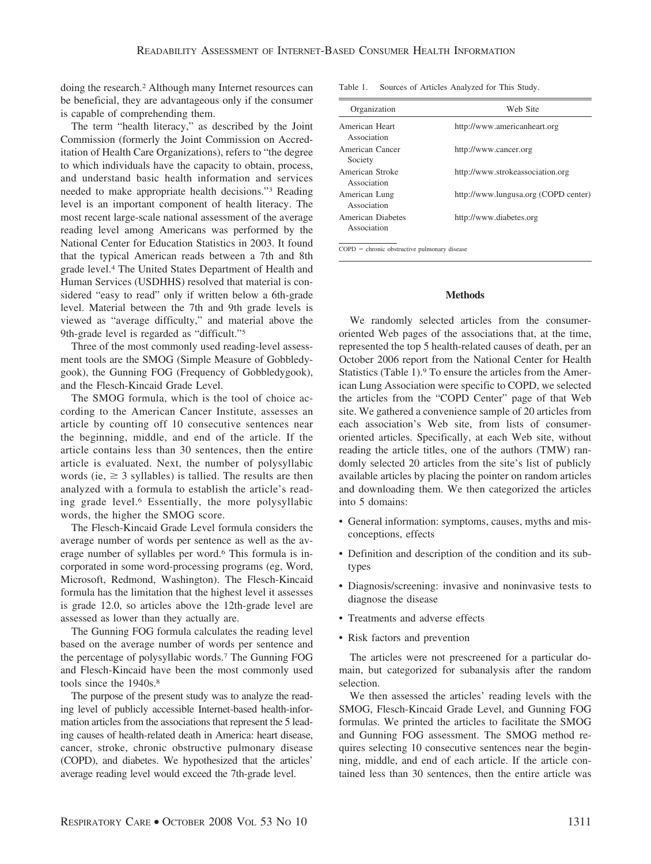doing the research.2 Although many Internet resources can be beneficial, they are advantageous only if the consumer is capable of comprehending them.

The term "health literacy," as described by the Joint Commission (formerly the Joint Commission on Accreditation of Health Care Organizations), refers to "the degree to which individuals have the capacity to obtain, process, and understand basic health information and services needed to make appropriate health decisions."3 Reading level is an important component of health literacy. The most recent large-scale national assessment of the average reading level among Americans was performed by the National Center for Education Statistics in 2003. It found that the typical American reads between a 7th and 8th grade level.4 The United States Department of Health and Human Services (USDHHS) resolved that material is considered "easy to read" only if written below a 6th-grade level. Material between the 7th and 9th grade levels is viewed as "average difficulty," and material above the 9th-grade level is regarded as "difficult."5

Three of the most commonly used reading-level assessment tools are the SMOG (Simple Measure of Gobbledygook), the Gunning FOG (Frequency of Gobbledygook), and the Flesch-Kincaid Grade Level.

The SMOG formula, which is the tool of choice according to the American Cancer Institute, assesses an article by counting off 10 consecutive sentences near the beginning, middle, and end of the article. If the article contains less than 30 sentences, then the entire article is evaluated. Next, the number of polysyllabic words (ie,  $\geq$  3 syllables) is tallied. The results are then analyzed with a formula to establish the article's reading grade level.6 Essentially, the more polysyllabic words, the higher the SMOG score.

The Flesch-Kincaid Grade Level formula considers the average number of words per sentence as well as the average number of syllables per word.6 This formula is incorporated in some word-processing programs (eg, Word, Microsoft, Redmond, Washington). The Flesch-Kincaid formula has the limitation that the highest level it assesses is grade 12.0, so articles above the 12th-grade level are assessed as lower than they actually are.

The Gunning FOG formula calculates the reading level based on the average number of words per sentence and the percentage of polysyllabic words.7 The Gunning FOG and Flesch-Kincaid have been the most commonly used tools since the 1940s.<sup>8</sup>

The purpose of the present study was to analyze the reading level of publicly accessible Internet-based health-information articles from the associations that represent the 5 leading causes of health-related death in America: heart disease, cancer, stroke, chronic obstructive pulmonary disease (COPD), and diabetes. We hypothesized that the articles' average reading level would exceed the 7th-grade level.

Table 1. Sources of Articles Analyzed for This Study.

| Organization                     | Web Site                             |
|----------------------------------|--------------------------------------|
| American Heart<br>Association    | http://www.americanheart.org         |
| American Cancer<br>Society       | http://www.cancer.org                |
| American Stroke<br>Association   | http://www.strokeassociation.org     |
| American Lung<br>Association     | http://www.lungusa.org (COPD center) |
| American Diabetes<br>Association | http://www.diabetes.org              |

 $COPD =$  chronic obstructive pulmonary disease

## **Methods**

We randomly selected articles from the consumeroriented Web pages of the associations that, at the time, represented the top 5 health-related causes of death, per an October 2006 report from the National Center for Health Statistics (Table 1).9 To ensure the articles from the American Lung Association were specific to COPD, we selected the articles from the "COPD Center" page of that Web site. We gathered a convenience sample of 20 articles from each association's Web site, from lists of consumeroriented articles. Specifically, at each Web site, without reading the article titles, one of the authors (TMW) randomly selected 20 articles from the site's list of publicly available articles by placing the pointer on random articles and downloading them. We then categorized the articles into 5 domains:

- General information: symptoms, causes, myths and misconceptions, effects
- Definition and description of the condition and its subtypes
- Diagnosis/screening: invasive and noninvasive tests to diagnose the disease
- Treatments and adverse effects
- Risk factors and prevention

The articles were not prescreened for a particular domain, but categorized for subanalysis after the random selection.

We then assessed the articles' reading levels with the SMOG, Flesch-Kincaid Grade Level, and Gunning FOG formulas. We printed the articles to facilitate the SMOG and Gunning FOG assessment. The SMOG method requires selecting 10 consecutive sentences near the beginning, middle, and end of each article. If the article contained less than 30 sentences, then the entire article was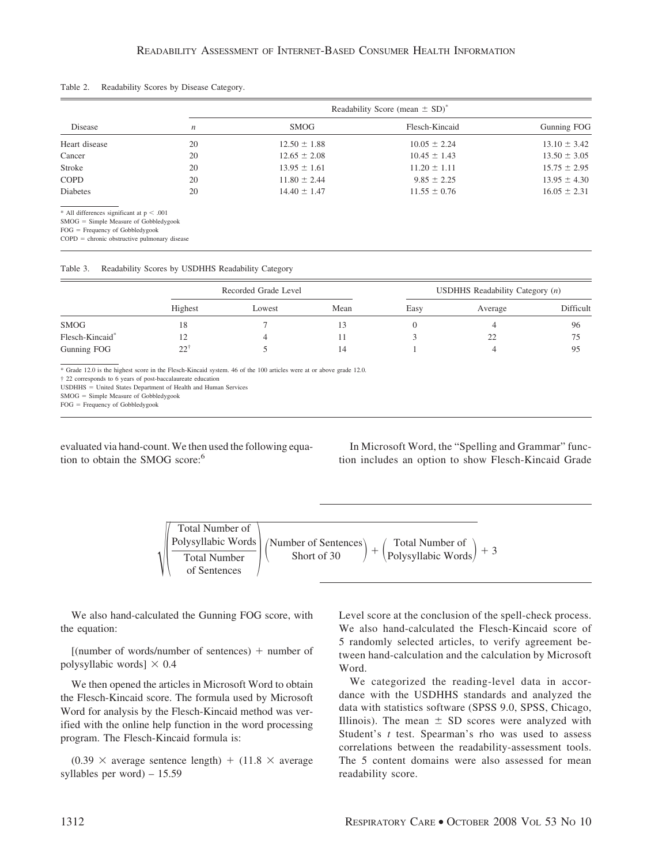Table 2. Readability Scores by Disease Category.

| Disease                                                                                |                  | Readability Score (mean $\pm$ SD) <sup>*</sup> |                  |                  |  |  |
|----------------------------------------------------------------------------------------|------------------|------------------------------------------------|------------------|------------------|--|--|
|                                                                                        | $\boldsymbol{n}$ | <b>SMOG</b>                                    | Flesch-Kincaid   | Gunning FOG      |  |  |
| Heart disease                                                                          | 20               | $12.50 \pm 1.88$                               | $10.05 \pm 2.24$ | $13.10 \pm 3.42$ |  |  |
| Cancer                                                                                 | 20               | $12.65 \pm 2.08$                               | $10.45 \pm 1.43$ | $13.50 \pm 3.05$ |  |  |
| Stroke                                                                                 | 20               | $13.95 \pm 1.61$                               | $11.20 \pm 1.11$ | $15.75 \pm 2.95$ |  |  |
| <b>COPD</b>                                                                            | 20               | $11.80 \pm 2.44$                               | $9.85 \pm 2.25$  | $13.95 \pm 4.30$ |  |  |
| <b>Diabetes</b>                                                                        | 20               | $14.40 \pm 1.47$                               | $11.55 \pm 0.76$ | $16.05 \pm 2.31$ |  |  |
| * All differences significant at $p < .001$<br>$SMOG = Simple Measure of Gobbledygook$ |                  |                                                |                  |                  |  |  |
| $FOG = Frequency of Gobbledygook$                                                      |                  |                                                |                  |                  |  |  |

 $COPD =$  chronic obstructive pulmonary disease

| Table 3. |  |  |  | Readability Scores by USDHHS Readability Category |  |
|----------|--|--|--|---------------------------------------------------|--|
|----------|--|--|--|---------------------------------------------------|--|

|                 | Recorded Grade Level |        |      | USDHHS Readability Category $(n)$ |         |           |
|-----------------|----------------------|--------|------|-----------------------------------|---------|-----------|
|                 | Highest              | Lowest | Mean | Easy                              | Average | Difficult |
| SMOG            | ΙX                   |        |      |                                   |         | 96        |
| Flesch-Kincaid* |                      |        |      |                                   | 22      | 75        |
| Gunning FOG     | $22^{+}$             |        | 14   |                                   |         | 95        |

\* Grade 12.0 is the highest score in the Flesch-Kincaid system. 46 of the 100 articles were at or above grade 12.0.

† 22 corresponds to 6 years of post-baccalaureate education

USDHHS United States Department of Health and Human Services

 $SMOG =$  Simple Measure of  $Gobbledygook$ 

FOG = Frequency of Gobbledygook

evaluated via hand-count. We then used the following equation to obtain the SMOG score:<sup>6</sup>

In Microsoft Word, the "Spelling and Grammar" function includes an option to show Flesch-Kincaid Grade

-Total Number of Polysyllabic Words Total Number of Sentences Number of Sentences Short of 30 - Total Number of Polysyllabic Words -3

We also hand-calculated the Gunning FOG score, with the equation:

 $[$ (number of words/number of sentences)  $+$  number of polysyllabic words]  $\times$  0.4

We then opened the articles in Microsoft Word to obtain the Flesch-Kincaid score. The formula used by Microsoft Word for analysis by the Flesch-Kincaid method was verified with the online help function in the word processing program. The Flesch-Kincaid formula is:

 $(0.39 \times \text{average sentence length}) + (11.8 \times \text{average})$ syllables per word) – 15.59

Level score at the conclusion of the spell-check process. We also hand-calculated the Flesch-Kincaid score of 5 randomly selected articles, to verify agreement between hand-calculation and the calculation by Microsoft Word.

We categorized the reading-level data in accordance with the USDHHS standards and analyzed the data with statistics software (SPSS 9.0, SPSS, Chicago, Illinois). The mean  $\pm$  SD scores were analyzed with Student's *t* test. Spearman's rho was used to assess correlations between the readability-assessment tools. The 5 content domains were also assessed for mean readability score.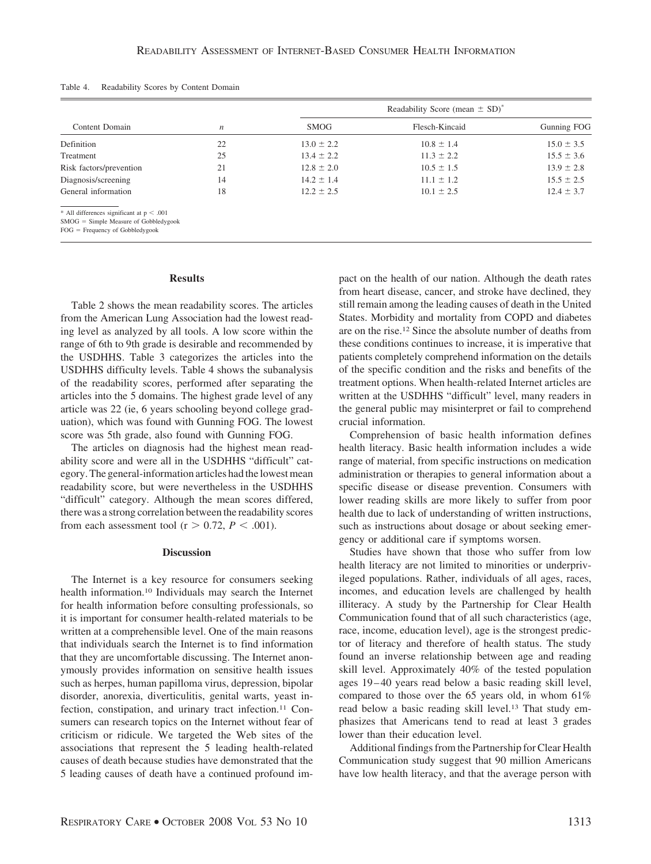| Content Domain                                                                         |    | Readability Score (mean $\pm$ SD) <sup>*</sup> |                |                |  |
|----------------------------------------------------------------------------------------|----|------------------------------------------------|----------------|----------------|--|
|                                                                                        | n  | <b>SMOG</b>                                    | Flesch-Kincaid | Gunning FOG    |  |
| Definition                                                                             | 22 | $13.0 \pm 2.2$                                 | $10.8 \pm 1.4$ | $15.0 \pm 3.5$ |  |
| Treatment                                                                              | 25 | $13.4 \pm 2.2$                                 | $11.3 \pm 2.2$ | $15.5 \pm 3.6$ |  |
| Risk factors/prevention                                                                | 21 | $12.8 \pm 2.0$                                 | $10.5 \pm 1.5$ | $13.9 \pm 2.8$ |  |
| Diagnosis/screening                                                                    | 14 | $14.2 \pm 1.4$                                 | $11.1 \pm 1.2$ | $15.5 \pm 2.5$ |  |
| General information                                                                    | 18 | $12.2 \pm 2.5$                                 | $10.1 \pm 2.5$ | $12.4 \pm 3.7$ |  |
| * All differences significant at $p < .001$<br>$SMOG = Simple Measure of Goblledvoook$ |    |                                                |                |                |  |

Table 4. Readability Scores by Content Domain

 $SMOG =$  Simple Measure of Gobbledygook FOG = Frequency of Gobbledygook

**Results**

Table 2 shows the mean readability scores. The articles from the American Lung Association had the lowest reading level as analyzed by all tools. A low score within the range of 6th to 9th grade is desirable and recommended by the USDHHS. Table 3 categorizes the articles into the USDHHS difficulty levels. Table 4 shows the subanalysis of the readability scores, performed after separating the articles into the 5 domains. The highest grade level of any article was 22 (ie, 6 years schooling beyond college graduation), which was found with Gunning FOG. The lowest score was 5th grade, also found with Gunning FOG.

The articles on diagnosis had the highest mean readability score and were all in the USDHHS "difficult" category. The general-information articles had the lowest mean readability score, but were nevertheless in the USDHHS "difficult" category. Although the mean scores differed, there was a strong correlation between the readability scores from each assessment tool ( $r > 0.72$ ,  $P < .001$ ).

### **Discussion**

The Internet is a key resource for consumers seeking health information.10 Individuals may search the Internet for health information before consulting professionals, so it is important for consumer health-related materials to be written at a comprehensible level. One of the main reasons that individuals search the Internet is to find information that they are uncomfortable discussing. The Internet anonymously provides information on sensitive health issues such as herpes, human papilloma virus, depression, bipolar disorder, anorexia, diverticulitis, genital warts, yeast infection, constipation, and urinary tract infection.<sup>11</sup> Consumers can research topics on the Internet without fear of criticism or ridicule. We targeted the Web sites of the associations that represent the 5 leading health-related causes of death because studies have demonstrated that the 5 leading causes of death have a continued profound impact on the health of our nation. Although the death rates from heart disease, cancer, and stroke have declined, they still remain among the leading causes of death in the United States. Morbidity and mortality from COPD and diabetes are on the rise.12 Since the absolute number of deaths from these conditions continues to increase, it is imperative that patients completely comprehend information on the details of the specific condition and the risks and benefits of the treatment options. When health-related Internet articles are written at the USDHHS "difficult" level, many readers in the general public may misinterpret or fail to comprehend crucial information.

Comprehension of basic health information defines health literacy. Basic health information includes a wide range of material, from specific instructions on medication administration or therapies to general information about a specific disease or disease prevention. Consumers with lower reading skills are more likely to suffer from poor health due to lack of understanding of written instructions, such as instructions about dosage or about seeking emergency or additional care if symptoms worsen.

Studies have shown that those who suffer from low health literacy are not limited to minorities or underprivileged populations. Rather, individuals of all ages, races, incomes, and education levels are challenged by health illiteracy. A study by the Partnership for Clear Health Communication found that of all such characteristics (age, race, income, education level), age is the strongest predictor of literacy and therefore of health status. The study found an inverse relationship between age and reading skill level. Approximately 40% of the tested population ages 19 – 40 years read below a basic reading skill level, compared to those over the 65 years old, in whom 61% read below a basic reading skill level.<sup>13</sup> That study emphasizes that Americans tend to read at least 3 grades lower than their education level.

Additional findings from the Partnership for Clear Health Communication study suggest that 90 million Americans have low health literacy, and that the average person with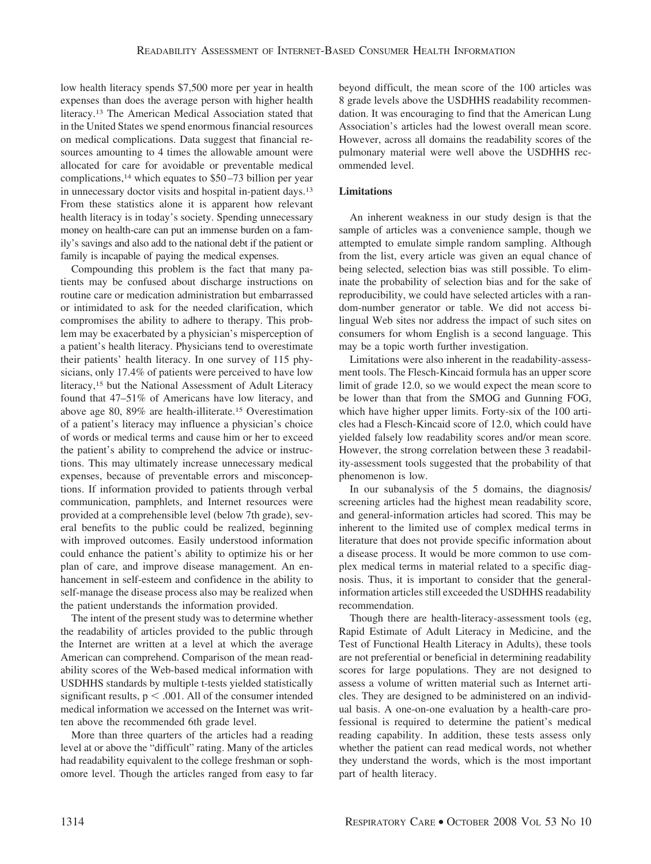low health literacy spends \$7,500 more per year in health expenses than does the average person with higher health literacy.13 The American Medical Association stated that in the United States we spend enormous financial resources on medical complications. Data suggest that financial resources amounting to 4 times the allowable amount were allocated for care for avoidable or preventable medical complications,14 which equates to \$50 –73 billion per year in unnecessary doctor visits and hospital in-patient days.13 From these statistics alone it is apparent how relevant health literacy is in today's society. Spending unnecessary money on health-care can put an immense burden on a family's savings and also add to the national debt if the patient or family is incapable of paying the medical expenses.

Compounding this problem is the fact that many patients may be confused about discharge instructions on routine care or medication administration but embarrassed or intimidated to ask for the needed clarification, which compromises the ability to adhere to therapy. This problem may be exacerbated by a physician's misperception of a patient's health literacy. Physicians tend to overestimate their patients' health literacy. In one survey of 115 physicians, only 17.4% of patients were perceived to have low literacy,15 but the National Assessment of Adult Literacy found that 47–51% of Americans have low literacy, and above age 80, 89% are health-illiterate.15 Overestimation of a patient's literacy may influence a physician's choice of words or medical terms and cause him or her to exceed the patient's ability to comprehend the advice or instructions. This may ultimately increase unnecessary medical expenses, because of preventable errors and misconceptions. If information provided to patients through verbal communication, pamphlets, and Internet resources were provided at a comprehensible level (below 7th grade), several benefits to the public could be realized, beginning with improved outcomes. Easily understood information could enhance the patient's ability to optimize his or her plan of care, and improve disease management. An enhancement in self-esteem and confidence in the ability to self-manage the disease process also may be realized when the patient understands the information provided.

The intent of the present study was to determine whether the readability of articles provided to the public through the Internet are written at a level at which the average American can comprehend. Comparison of the mean readability scores of the Web-based medical information with USDHHS standards by multiple t-tests yielded statistically significant results,  $p < .001$ . All of the consumer intended medical information we accessed on the Internet was written above the recommended 6th grade level.

More than three quarters of the articles had a reading level at or above the "difficult" rating. Many of the articles had readability equivalent to the college freshman or sophomore level. Though the articles ranged from easy to far beyond difficult, the mean score of the 100 articles was 8 grade levels above the USDHHS readability recommendation. It was encouraging to find that the American Lung Association's articles had the lowest overall mean score. However, across all domains the readability scores of the pulmonary material were well above the USDHHS recommended level.

# **Limitations**

An inherent weakness in our study design is that the sample of articles was a convenience sample, though we attempted to emulate simple random sampling. Although from the list, every article was given an equal chance of being selected, selection bias was still possible. To eliminate the probability of selection bias and for the sake of reproducibility, we could have selected articles with a random-number generator or table. We did not access bilingual Web sites nor address the impact of such sites on consumers for whom English is a second language. This may be a topic worth further investigation.

Limitations were also inherent in the readability-assessment tools. The Flesch-Kincaid formula has an upper score limit of grade 12.0, so we would expect the mean score to be lower than that from the SMOG and Gunning FOG, which have higher upper limits. Forty-six of the 100 articles had a Flesch-Kincaid score of 12.0, which could have yielded falsely low readability scores and/or mean score. However, the strong correlation between these 3 readability-assessment tools suggested that the probability of that phenomenon is low.

In our subanalysis of the 5 domains, the diagnosis/ screening articles had the highest mean readability score, and general-information articles had scored. This may be inherent to the limited use of complex medical terms in literature that does not provide specific information about a disease process. It would be more common to use complex medical terms in material related to a specific diagnosis. Thus, it is important to consider that the generalinformation articles still exceeded the USDHHS readability recommendation.

Though there are health-literacy-assessment tools (eg, Rapid Estimate of Adult Literacy in Medicine, and the Test of Functional Health Literacy in Adults), these tools are not preferential or beneficial in determining readability scores for large populations. They are not designed to assess a volume of written material such as Internet articles. They are designed to be administered on an individual basis. A one-on-one evaluation by a health-care professional is required to determine the patient's medical reading capability. In addition, these tests assess only whether the patient can read medical words, not whether they understand the words, which is the most important part of health literacy.